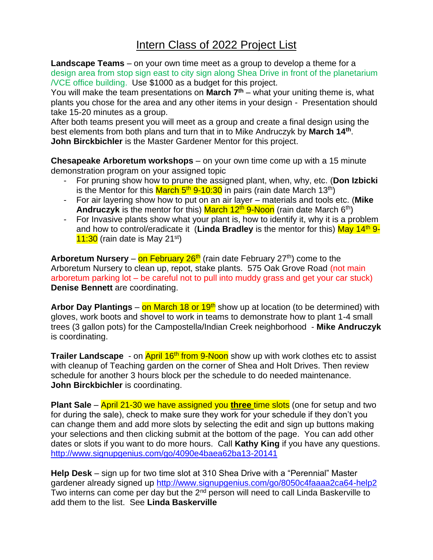**Landscape Teams** – on your own time meet as a group to develop a theme for a design area from stop sign east to city sign along Shea Drive in front of the planetarium /VCE office building. Use \$1000 as a budget for this project.

You will make the team presentations on **March 7th** – what your uniting theme is, what plants you chose for the area and any other items in your design - Presentation should take 15-20 minutes as a group.

After both teams present you will meet as a group and create a final design using the best elements from both plans and turn that in to Mike Andruczyk by **March 14th** . **John Birckbichler** is the Master Gardener Mentor for this project.

**Chesapeake Arboretum workshops** – on your own time come up with a 15 minute demonstration program on your assigned topic

- For pruning show how to prune the assigned plant, when, why, etc. (**Don Izbicki** is the Mentor for this <mark>March 5<sup>th</sup> 9-10:30</mark> in pairs (rain date March 13<sup>th</sup>)
- For air layering show how to put on an air layer materials and tools etc. (**Mike Andruczyk** is the mentor for this) March  $12<sup>th</sup>$  9-Noon (rain date March 6<sup>th</sup>)
- For Invasive plants show what your plant is, how to identify it, why it is a problem and how to control/eradicate it (Linda Bradley is the mentor for this) May 14<sup>th</sup> 9- $11:30$  (rain date is May 21st)

**Arboretum Nursery** – on February 26<sup>th</sup> (rain date February 27<sup>th</sup>) come to the Arboretum Nursery to clean up, repot, stake plants. 575 Oak Grove Road (not main arboretum parking lot – be careful not to pull into muddy grass and get your car stuck) **Denise Bennett** are coordinating.

**Arbor Day Plantings** – on March 18 or 19<sup>th</sup> show up at location (to be determined) with gloves, work boots and shovel to work in teams to demonstrate how to plant 1-4 small trees (3 gallon pots) for the Campostella/Indian Creek neighborhood - **Mike Andruczyk** is coordinating.

**Trailer Landscape** - on **April 16<sup>th</sup> from 9-Noon** show up with work clothes etc to assist with cleanup of Teaching garden on the corner of Shea and Holt Drives. Then review schedule for another 3 hours block per the schedule to do needed maintenance. **John Birckbichler** is coordinating.

**Plant Sale** – April 21-30 we have assigned you **three** time slots (one for setup and two for during the sale), check to make sure they work for your schedule if they don't you can change them and add more slots by selecting the edit and sign up buttons making your selections and then clicking submit at the bottom of the page. You can add other dates or slots if you want to do more hours. Call **Kathy King** if you have any questions. <http://www.signupgenius.com/go/4090e4baea62ba13-20141>

**Help Desk** – sign up for two time slot at 310 Shea Drive with a "Perennial" Master gardener already signed up<http://www.signupgenius.com/go/8050c4faaaa2ca64-help2> Two interns can come per day but the 2<sup>nd</sup> person will need to call Linda Baskerville to add them to the list. See **Linda Baskerville**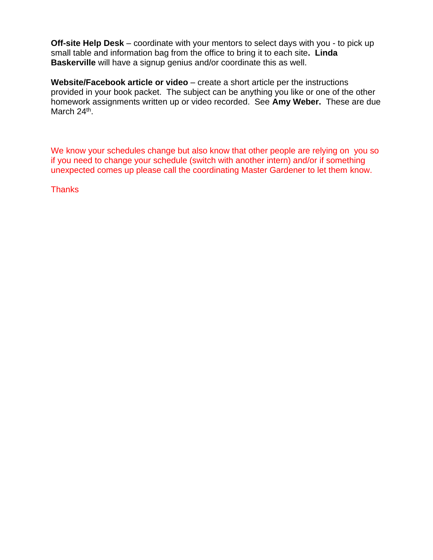**Off-site Help Desk** – coordinate with your mentors to select days with you - to pick up small table and information bag from the office to bring it to each site**. Linda Baskerville** will have a signup genius and/or coordinate this as well.

**Website/Facebook article or video** – create a short article per the instructions provided in your book packet. The subject can be anything you like or one of the other homework assignments written up or video recorded. See **Amy Weber.** These are due March 24<sup>th</sup>.

We know your schedules change but also know that other people are relying on you so if you need to change your schedule (switch with another intern) and/or if something unexpected comes up please call the coordinating Master Gardener to let them know.

**Thanks**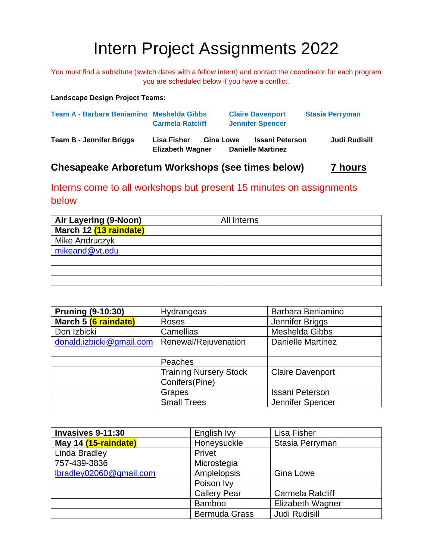# Intern Project Assignments 2022

You must find a substitute (switch dates with a fellow intern) and contact the coordinator for each program you are scheduled below if you have a conflict.

**Landscape Design Project Teams:**

| Team A - Barbara Beniamino Meshelda Gibbs | <b>Carmela Ratcliff</b>         |                  | <b>Claire Davenport</b><br><b>Jennifer Spencer</b> | <b>Stasia Perryman</b> |
|-------------------------------------------|---------------------------------|------------------|----------------------------------------------------|------------------------|
| <b>Team B - Jennifer Briggs</b>           | Lisa Fisher<br>Elizabeth Wagner | <b>Gina Lowe</b> | <b>Issani Peterson</b><br><b>Danielle Martinez</b> | Judi Rudisill          |

## **Chesapeake Arboretum Workshops (see times below) 7 hours**

Interns come to all workshops but present 15 minutes on assignments below

| Air Layering (9-Noon)  | All Interns |
|------------------------|-------------|
| March 12 (13 raindate) |             |
| Mike Andruczyk         |             |
| mikeand@vt.edu         |             |
|                        |             |
|                        |             |
|                        |             |

| <b>Pruning (9-10:30)</b> | Hydrangeas                    | Barbara Beniamino        |
|--------------------------|-------------------------------|--------------------------|
| March 5 (6 raindate)     | Roses                         | Jennifer Briggs          |
| Don Izbicki              | Camellias                     | Meshelda Gibbs           |
| donald.izbicki@gmail.com | Renewal/Rejuvenation          | <b>Danielle Martinez</b> |
|                          |                               |                          |
|                          | Peaches                       |                          |
|                          | <b>Training Nursery Stock</b> | <b>Claire Davenport</b>  |
|                          | Conifers(Pine)                |                          |
|                          | Grapes                        | <b>Issani Peterson</b>   |
|                          | <b>Small Trees</b>            | Jennifer Spencer         |

| Invasives 9-11:30               | English Ivy          | Lisa Fisher             |
|---------------------------------|----------------------|-------------------------|
| May 14 (15-raindate)            | Honeysuckle          | Stasia Perryman         |
| Linda Bradley                   | Privet               |                         |
| 757-439-3836                    | Microstegia          |                         |
| $Ibradley02060\omega gmail.com$ | Amplelopsis          | <b>Gina Lowe</b>        |
|                                 | Poison Ivy           |                         |
|                                 | <b>Callery Pear</b>  | <b>Carmela Ratcliff</b> |
|                                 | <b>Bamboo</b>        | Elizabeth Wagner        |
|                                 | <b>Bermuda Grass</b> | <b>Judi Rudisill</b>    |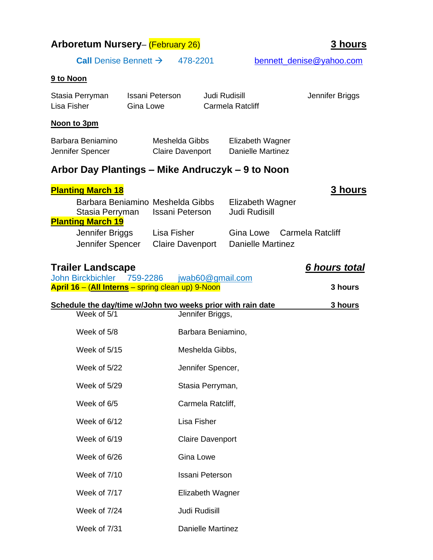| <b>Arboretum Nursery- (February 26)</b>                     |                                          |                                           |                                              | <b>3 hours</b>           |
|-------------------------------------------------------------|------------------------------------------|-------------------------------------------|----------------------------------------------|--------------------------|
|                                                             | <b>Call</b> Denise Bennett $\rightarrow$ | 478-2201                                  |                                              | bennett_denise@yahoo.com |
| 9 to Noon                                                   |                                          |                                           |                                              |                          |
| Stasia Perryman<br>Lisa Fisher                              | Issani Peterson<br><b>Gina Lowe</b>      |                                           | <b>Judi Rudisill</b><br>Carmela Ratcliff     | Jennifer Briggs          |
| Noon to 3pm                                                 |                                          |                                           |                                              |                          |
| Barbara Beniamino<br>Jennifer Spencer                       |                                          | Meshelda Gibbs<br><b>Claire Davenport</b> | Elizabeth Wagner<br><b>Danielle Martinez</b> |                          |
| Arbor Day Plantings – Mike Andruczyk – 9 to Noon            |                                          |                                           |                                              |                          |
| <b>Planting March 18</b>                                    |                                          |                                           |                                              | <b>3 hours</b>           |
| Stasia Perryman                                             | Barbara Benjamino Meshelda Gibbs         | <b>Issani Peterson</b>                    | Elizabeth Wagner<br><b>Judi Rudisill</b>     |                          |
| <b>Planting March 19</b>                                    |                                          |                                           |                                              |                          |
| Jennifer Briggs<br>Jennifer Spencer                         |                                          | Lisa Fisher<br><b>Claire Davenport</b>    | Gina Lowe<br><b>Danielle Martinez</b>        | Carmela Ratcliff         |
| <b>Trailer Landscape</b>                                    |                                          |                                           |                                              | 6 hours total            |
| John Birckbichler 759-2286                                  |                                          | jwab60@gmail.com                          |                                              |                          |
| April 16 - (All Interns - spring clean up) 9-Noon           |                                          |                                           |                                              | 3 hours                  |
| Schedule the day/time w/John two weeks prior with rain date |                                          |                                           |                                              | 3 hours                  |
| Week of 5/1                                                 |                                          | Jennifer Briggs,                          |                                              |                          |
| Week of 5/8                                                 |                                          | Barbara Beniamino,                        |                                              |                          |

Week of 5/15 Meshelda Gibbs, Week of 5/22 Jennifer Spencer, Week of 5/29 Stasia Perryman, Week of 6/5 Carmela Ratcliff, Week of 6/12 Lisa Fisher Week of 6/19 Claire Davenport Week of 6/26 Gina Lowe Week of 7/10 **Issani Peterson** Week of 7/17 **Elizabeth Wagner** Week of 7/24 Judi Rudisill

Week of 7/31 Danielle Martinez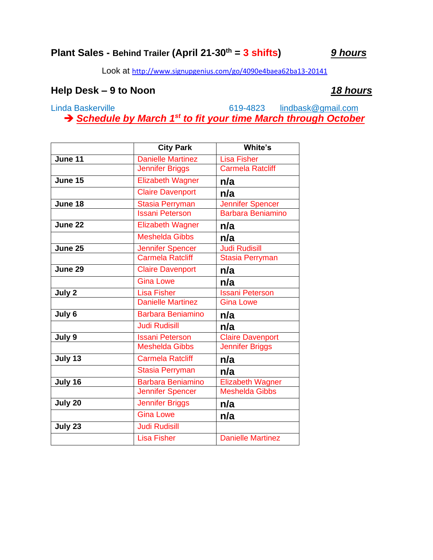# **Plant Sales - Behind Trailer (April 21-30th = 3 shifts)** *9 hours*

Look at <http://www.signupgenius.com/go/4090e4baea62ba13-20141>

### **Help Desk – 9 to Noon** *18 hours*

Linda Baskerville 619-4823 [lindbask@gmail.com](mailto:lindbask@gmail.com) → *Schedule by March 1<sup>st</sup> to fit your time March through October* 

|         | <b>City Park</b>         | White's                  |  |
|---------|--------------------------|--------------------------|--|
| June 11 | <b>Danielle Martinez</b> | <b>Lisa Fisher</b>       |  |
|         | Jennifer Briggs          | <b>Carmela Ratcliff</b>  |  |
| June 15 | <b>Elizabeth Wagner</b>  | n/a                      |  |
|         | <b>Claire Davenport</b>  | n/a                      |  |
| June 18 | <b>Stasia Perryman</b>   | Jennifer Spencer         |  |
|         | <b>Issani Peterson</b>   | <b>Barbara Beniamino</b> |  |
| June 22 | <b>Elizabeth Wagner</b>  | n/a                      |  |
|         | <b>Meshelda Gibbs</b>    | n/a                      |  |
| June 25 | <b>Jennifer Spencer</b>  | <b>Judi Rudisill</b>     |  |
|         | Carmela Ratcliff         | <b>Stasia Perryman</b>   |  |
| June 29 | <b>Claire Davenport</b>  | n/a                      |  |
|         | <b>Gina Lowe</b>         | n/a                      |  |
| July 2  | <b>Lisa Fisher</b>       | <b>Issani Peterson</b>   |  |
|         | <b>Danielle Martinez</b> | <b>Gina Lowe</b>         |  |
| July 6  | <b>Barbara Beniamino</b> | n/a                      |  |
|         | <b>Judi Rudisill</b>     | n/a                      |  |
| July 9  | <b>Issani Peterson</b>   | <b>Claire Davenport</b>  |  |
|         | <b>Meshelda Gibbs</b>    | <b>Jennifer Briggs</b>   |  |
| July 13 | <b>Carmela Ratcliff</b>  | n/a                      |  |
|         | <b>Stasia Perryman</b>   | n/a                      |  |
| July 16 | <b>Barbara Beniamino</b> | <b>Elizabeth Wagner</b>  |  |
|         | Jennifer Spencer         | <b>Meshelda Gibbs</b>    |  |
| July 20 | <b>Jennifer Briggs</b>   | n/a                      |  |
|         | <b>Gina Lowe</b>         | n/a                      |  |
| July 23 | <b>Judi Rudisill</b>     |                          |  |
|         | <b>Lisa Fisher</b>       | <b>Danielle Martinez</b> |  |